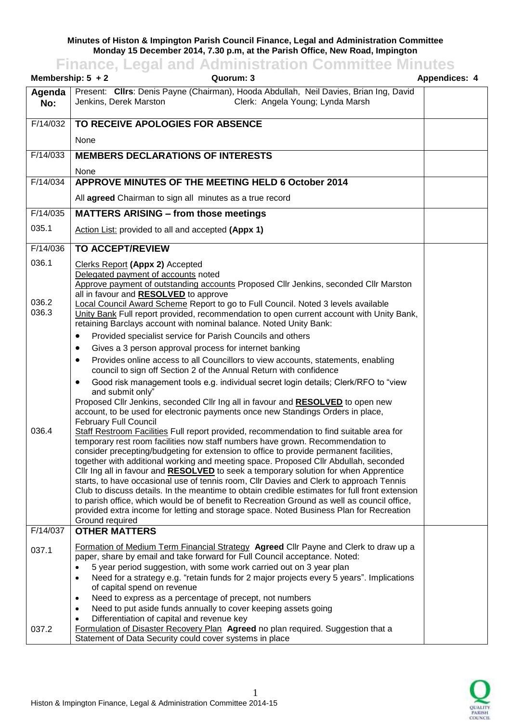## **Minutes of Histon & Impington Parish Council Finance, Legal and Administration Committee Monday 15 December 2014, 7.30 p.m, at the Parish Office, New Road, Impington**

## **Finance, Legal and Administration Committee Minutes**

| Membership: $5 + 2$     | Quorum: 3                                                                                                                                                                                                                                                                                                                                                                                                                                                                                                                                                                                                                                                                                                                                                                 | <b>Appendices: 4</b> |
|-------------------------|---------------------------------------------------------------------------------------------------------------------------------------------------------------------------------------------------------------------------------------------------------------------------------------------------------------------------------------------------------------------------------------------------------------------------------------------------------------------------------------------------------------------------------------------------------------------------------------------------------------------------------------------------------------------------------------------------------------------------------------------------------------------------|----------------------|
| Agenda<br>No:           | Present: Clirs: Denis Payne (Chairman), Hooda Abdullah, Neil Davies, Brian Ing, David<br>Jenkins, Derek Marston<br>Clerk: Angela Young; Lynda Marsh                                                                                                                                                                                                                                                                                                                                                                                                                                                                                                                                                                                                                       |                      |
| F/14/032                | TO RECEIVE APOLOGIES FOR ABSENCE                                                                                                                                                                                                                                                                                                                                                                                                                                                                                                                                                                                                                                                                                                                                          |                      |
|                         | None                                                                                                                                                                                                                                                                                                                                                                                                                                                                                                                                                                                                                                                                                                                                                                      |                      |
| F/14/033                | <b>MEMBERS DECLARATIONS OF INTERESTS</b>                                                                                                                                                                                                                                                                                                                                                                                                                                                                                                                                                                                                                                                                                                                                  |                      |
|                         | None                                                                                                                                                                                                                                                                                                                                                                                                                                                                                                                                                                                                                                                                                                                                                                      |                      |
| F/14/034                | APPROVE MINUTES OF THE MEETING HELD 6 October 2014                                                                                                                                                                                                                                                                                                                                                                                                                                                                                                                                                                                                                                                                                                                        |                      |
|                         | All agreed Chairman to sign all minutes as a true record                                                                                                                                                                                                                                                                                                                                                                                                                                                                                                                                                                                                                                                                                                                  |                      |
| F/14/035                | <b>MATTERS ARISING - from those meetings</b>                                                                                                                                                                                                                                                                                                                                                                                                                                                                                                                                                                                                                                                                                                                              |                      |
| 035.1                   | Action List: provided to all and accepted (Appx 1)                                                                                                                                                                                                                                                                                                                                                                                                                                                                                                                                                                                                                                                                                                                        |                      |
| F/14/036                | <b>TO ACCEPT/REVIEW</b>                                                                                                                                                                                                                                                                                                                                                                                                                                                                                                                                                                                                                                                                                                                                                   |                      |
| 036.1<br>036.2<br>036.3 | Clerks Report (Appx 2) Accepted<br>Delegated payment of accounts noted<br>Approve payment of outstanding accounts Proposed Cllr Jenkins, seconded Cllr Marston<br>all in favour and RESOLVED to approve<br>Local Council Award Scheme Report to go to Full Council. Noted 3 levels available<br>Unity Bank Full report provided, recommendation to open current account with Unity Bank,<br>retaining Barclays account with nominal balance. Noted Unity Bank:<br>Provided specialist service for Parish Councils and others<br>$\bullet$<br>Gives a 3 person approval process for internet banking<br>٠                                                                                                                                                                  |                      |
| 036.4                   | Provides online access to all Councillors to view accounts, statements, enabling<br>$\bullet$<br>council to sign off Section 2 of the Annual Return with confidence<br>Good risk management tools e.g. individual secret login details; Clerk/RFO to "view<br>$\bullet$<br>and submit only"<br>Proposed Cllr Jenkins, seconded Cllr Ing all in favour and RESOLVED to open new<br>account, to be used for electronic payments once new Standings Orders in place,<br><b>February Full Council</b><br>Staff Restroom Facilities Full report provided, recommendation to find suitable area for<br>temporary rest room facilities now staff numbers have grown. Recommendation to<br>consider precepting/budgeting for extension to office to provide permanent facilities, |                      |
| F/14/037                | together with additional working and meeting space. Proposed Cllr Abdullah, seconded<br>Cllr Ing all in favour and RESOLVED to seek a temporary solution for when Apprentice<br>starts, to have occasional use of tennis room, Cllr Davies and Clerk to approach Tennis<br>Club to discuss details. In the meantime to obtain credible estimates for full front extension<br>to parish office, which would be of benefit to Recreation Ground as well as council office,<br>provided extra income for letting and storage space. Noted Business Plan for Recreation<br>Ground required<br><b>OTHER MATTERS</b>                                                                                                                                                            |                      |
|                         |                                                                                                                                                                                                                                                                                                                                                                                                                                                                                                                                                                                                                                                                                                                                                                           |                      |
| 037.1                   | Formation of Medium Term Financial Strategy Agreed Cllr Payne and Clerk to draw up a<br>paper, share by email and take forward for Full Council acceptance. Noted:<br>5 year period suggestion, with some work carried out on 3 year plan<br>Need for a strategy e.g. "retain funds for 2 major projects every 5 years". Implications<br>$\bullet$<br>of capital spend on revenue<br>Need to express as a percentage of precept, not numbers<br>٠<br>Need to put aside funds annually to cover keeping assets going<br>$\bullet$                                                                                                                                                                                                                                          |                      |
| 037.2                   | Differentiation of capital and revenue key<br>Formulation of Disaster Recovery Plan Agreed no plan required. Suggestion that a                                                                                                                                                                                                                                                                                                                                                                                                                                                                                                                                                                                                                                            |                      |
|                         | Statement of Data Security could cover systems in place                                                                                                                                                                                                                                                                                                                                                                                                                                                                                                                                                                                                                                                                                                                   |                      |